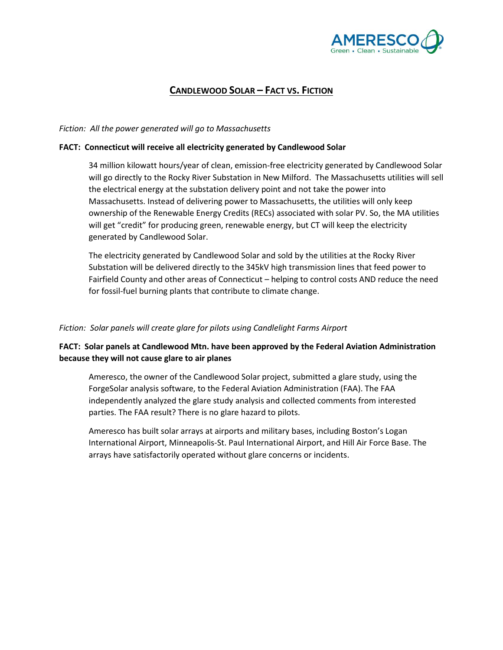

# **CANDLEWOOD SOLAR – FACT VS. FICTION**

### *Fiction: All the power generated will go to Massachusetts*

#### **FACT: Connecticut will receive all electricity generated by Candlewood Solar**

34 million kilowatt hours/year of clean, emission-free electricity generated by Candlewood Solar will go directly to the Rocky River Substation in New Milford. The Massachusetts utilities will sell the electrical energy at the substation delivery point and not take the power into Massachusetts. Instead of delivering power to Massachusetts, the utilities will only keep ownership of the Renewable Energy Credits (RECs) associated with solar PV. So, the MA utilities will get "credit" for producing green, renewable energy, but CT will keep the electricity generated by Candlewood Solar.

The electricity generated by Candlewood Solar and sold by the utilities at the Rocky River Substation will be delivered directly to the 345kV high transmission lines that feed power to Fairfield County and other areas of Connecticut – helping to control costs AND reduce the need for fossil-fuel burning plants that contribute to climate change.

#### *Fiction: Solar panels will create glare for pilots using Candlelight Farms Airport*

### **FACT: Solar panels at Candlewood Mtn. have been approved by the Federal Aviation Administration because they will not cause glare to air planes**

Ameresco, the owner of the Candlewood Solar project, submitted a glare study, using the ForgeSolar analysis software, to the Federal Aviation Administration (FAA). The FAA independently analyzed the glare study analysis and collected comments from interested parties. The FAA result? There is no glare hazard to pilots.

Ameresco has built solar arrays at airports and military bases, including Boston's Logan International Airport, Minneapolis-St. Paul International Airport, and Hill Air Force Base. The arrays have satisfactorily operated without glare concerns or incidents.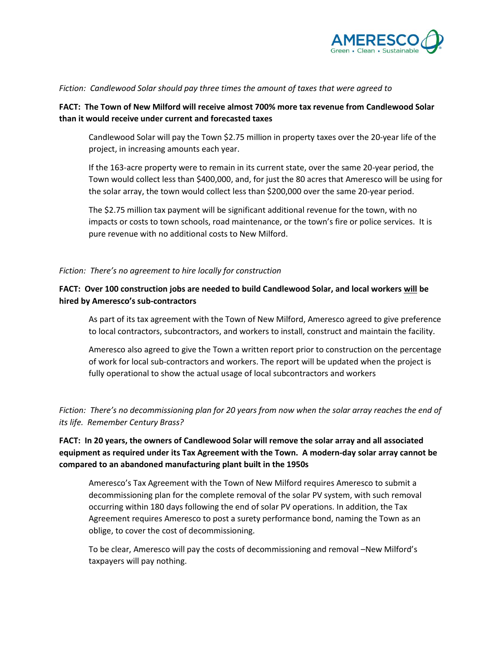

### *Fiction: Candlewood Solar should pay three times the amount of taxes that were agreed to*

### **FACT: The Town of New Milford will receive almost 700% more tax revenue from Candlewood Solar than it would receive under current and forecasted taxes**

Candlewood Solar will pay the Town \$2.75 million in property taxes over the 20-year life of the project, in increasing amounts each year.

If the 163-acre property were to remain in its current state, over the same 20-year period, the Town would collect less than \$400,000, and, for just the 80 acres that Ameresco will be using for the solar array, the town would collect less than \$200,000 over the same 20-year period.

The \$2.75 million tax payment will be significant additional revenue for the town, with no impacts or costs to town schools, road maintenance, or the town's fire or police services. It is pure revenue with no additional costs to New Milford.

### *Fiction: There's no agreement to hire locally for construction*

## **FACT: Over 100 construction jobs are needed to build Candlewood Solar, and local workers will be hired by Ameresco's sub-contractors**

As part of its tax agreement with the Town of New Milford, Ameresco agreed to give preference to local contractors, subcontractors, and workers to install, construct and maintain the facility.

Ameresco also agreed to give the Town a written report prior to construction on the percentage of work for local sub-contractors and workers. The report will be updated when the project is fully operational to show the actual usage of local subcontractors and workers

*Fiction: There's no decommissioning plan for 20 years from now when the solar array reaches the end of its life. Remember Century Brass?*

**FACT: In 20 years, the owners of Candlewood Solar will remove the solar array and all associated equipment as required under its Tax Agreement with the Town. A modern-day solar array cannot be compared to an abandoned manufacturing plant built in the 1950s**

Ameresco's Tax Agreement with the Town of New Milford requires Ameresco to submit a decommissioning plan for the complete removal of the solar PV system, with such removal occurring within 180 days following the end of solar PV operations. In addition, the Tax Agreement requires Ameresco to post a surety performance bond, naming the Town as an oblige, to cover the cost of decommissioning.

To be clear, Ameresco will pay the costs of decommissioning and removal –New Milford's taxpayers will pay nothing.